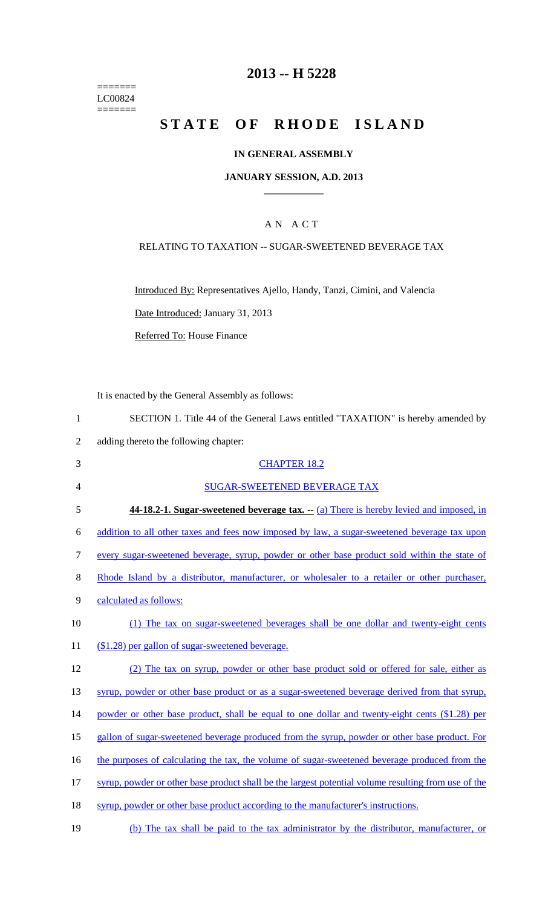======= LC00824  $=$ 

# **2013 -- H 5228**

# STATE OF RHODE ISLAND

## **IN GENERAL ASSEMBLY**

#### **JANUARY SESSION, A.D. 2013 \_\_\_\_\_\_\_\_\_\_\_\_**

## A N A C T

## RELATING TO TAXATION -- SUGAR-SWEETENED BEVERAGE TAX

Introduced By: Representatives Ajello, Handy, Tanzi, Cimini, and Valencia

Date Introduced: January 31, 2013

Referred To: House Finance

It is enacted by the General Assembly as follows:

| $\mathbf{1}$   | SECTION 1. Title 44 of the General Laws entitled "TAXATION" is hereby amended by                    |
|----------------|-----------------------------------------------------------------------------------------------------|
| $\overline{2}$ | adding thereto the following chapter:                                                               |
| 3              | <b>CHAPTER 18.2</b>                                                                                 |
| $\overline{4}$ | <b>SUGAR-SWEETENED BEVERAGE TAX</b>                                                                 |
| 5              | <b>44-18.2-1. Sugar-sweetened beverage tax.</b> $-$ (a) There is hereby levied and imposed, in      |
| 6              | addition to all other taxes and fees now imposed by law, a sugar-sweetened beverage tax upon        |
| $\tau$         | every sugar-sweetened beverage, syrup, powder or other base product sold within the state of        |
| $8\,$          | Rhode Island by a distributor, manufacturer, or wholesaler to a retailer or other purchaser,        |
| 9              | calculated as follows:                                                                              |
| 10             | (1) The tax on sugar-sweetened beverages shall be one dollar and twenty-eight cents                 |
| 11             | (\$1.28) per gallon of sugar-sweetened beverage.                                                    |
| 12             | (2) The tax on syrup, powder or other base product sold or offered for sale, either as              |
| 13             | syrup, powder or other base product or as a sugar-sweetened beverage derived from that syrup,       |
| 14             | powder or other base product, shall be equal to one dollar and twenty-eight cents (\$1.28) per      |
| 15             | gallon of sugar-sweetened beverage produced from the syrup, powder or other base product. For       |
| 16             | the purposes of calculating the tax, the volume of sugar-sweetened beverage produced from the       |
| 17             | syrup, powder or other base product shall be the largest potential volume resulting from use of the |
| 18             | syrup, powder or other base product according to the manufacturer's instructions.                   |
| 19             | (b) The tax shall be paid to the tax administrator by the distributor, manufacturer, or             |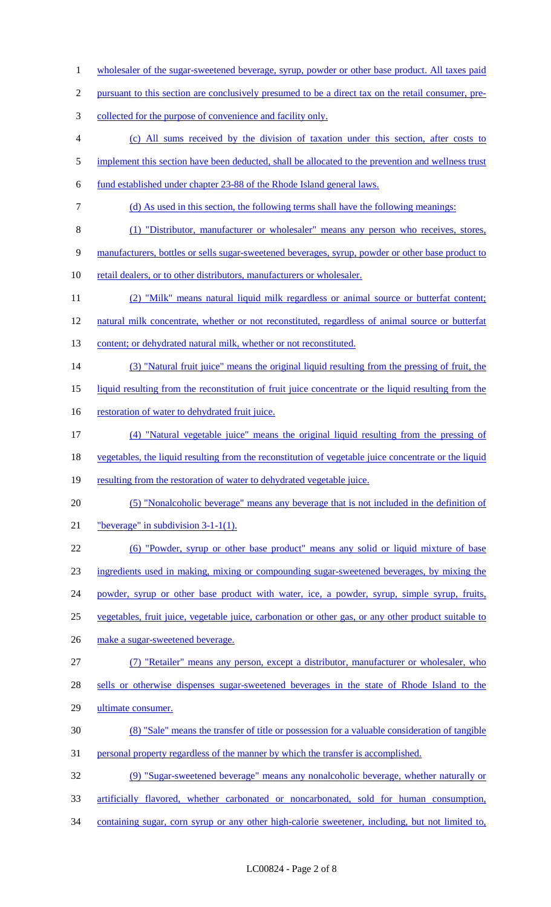- 1 wholesaler of the sugar-sweetened beverage, syrup, powder or other base product. All taxes paid
- 2 pursuant to this section are conclusively presumed to be a direct tax on the retail consumer, pre-
- 3 collected for the purpose of convenience and facility only.
- 4 (c) All sums received by the division of taxation under this section, after costs to
- 5 implement this section have been deducted, shall be allocated to the prevention and wellness trust
- 6 fund established under chapter 23-88 of the Rhode Island general laws.
- 7 (d) As used in this section, the following terms shall have the following meanings:
- 8 (1) "Distributor, manufacturer or wholesaler" means any person who receives, stores,
- 9 manufacturers, bottles or sells sugar-sweetened beverages, syrup, powder or other base product to
- 10 retail dealers, or to other distributors, manufacturers or wholesaler.
- 11 (2) "Milk" means natural liquid milk regardless or animal source or butterfat content;
- 12 natural milk concentrate, whether or not reconstituted, regardless of animal source or butterfat
- 13 content; or dehydrated natural milk, whether or not reconstituted.
- 14 (3) "Natural fruit juice" means the original liquid resulting from the pressing of fruit, the
- 15 liquid resulting from the reconstitution of fruit juice concentrate or the liquid resulting from the
- 16 restoration of water to dehydrated fruit juice.
- 17 (4) "Natural vegetable juice" means the original liquid resulting from the pressing of
- 18 vegetables, the liquid resulting from the reconstitution of vegetable juice concentrate or the liquid
- 19 resulting from the restoration of water to dehydrated vegetable juice.
- 20 (5) "Nonalcoholic beverage" means any beverage that is not included in the definition of
- 21 "beverage" in subdivision 3-1-1(1).
- 22 (6) "Powder, syrup or other base product" means any solid or liquid mixture of base 23 ingredients used in making, mixing or compounding sugar-sweetened beverages, by mixing the 24 powder, syrup or other base product with water, ice, a powder, syrup, simple syrup, fruits,
- 25 vegetables, fruit juice, vegetable juice, carbonation or other gas, or any other product suitable to
- 26 make a sugar-sweetened beverage.
- 27 (7) "Retailer" means any person, except a distributor, manufacturer or wholesaler, who
- 28 sells or otherwise dispenses sugar-sweetened beverages in the state of Rhode Island to the
- 29 ultimate consumer.
- 30 (8) "Sale" means the transfer of title or possession for a valuable consideration of tangible
- 31 personal property regardless of the manner by which the transfer is accomplished.
- 32 (9) "Sugar-sweetened beverage" means any nonalcoholic beverage, whether naturally or
- 33 artificially flavored, whether carbonated or noncarbonated, sold for human consumption,
- 34 containing sugar, corn syrup or any other high-calorie sweetener, including, but not limited to,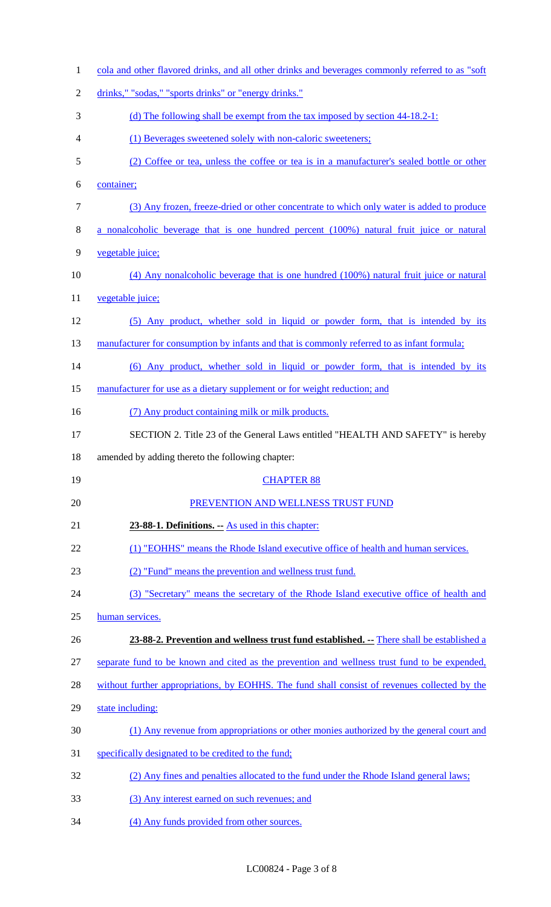| $\mathbf{1}$   | cola and other flavored drinks, and all other drinks and beverages commonly referred to as "soft" |
|----------------|---------------------------------------------------------------------------------------------------|
| $\overline{2}$ | drinks," "sodas," "sports drinks" or "energy drinks."                                             |
| 3              | (d) The following shall be exempt from the tax imposed by section 44-18.2-1:                      |
| $\overline{4}$ | (1) Beverages sweetened solely with non-caloric sweeteners;                                       |
| 5              | (2) Coffee or tea, unless the coffee or tea is in a manufacturer's sealed bottle or other         |
| 6              | container;                                                                                        |
| 7              | (3) Any frozen, freeze-dried or other concentrate to which only water is added to produce         |
| 8              | a nonalcoholic beverage that is one hundred percent (100%) natural fruit juice or natural         |
| 9              | vegetable juice;                                                                                  |
| 10             | (4) Any nonalcoholic beverage that is one hundred (100%) natural fruit juice or natural           |
| 11             | vegetable juice;                                                                                  |
| 12             | (5) Any product, whether sold in liquid or powder form, that is intended by its                   |
| 13             | manufacturer for consumption by infants and that is commonly referred to as infant formula;       |
| 14             | (6) Any product, whether sold in liquid or powder form, that is intended by its                   |
| 15             | manufacturer for use as a dietary supplement or for weight reduction; and                         |
| 16             | (7) Any product containing milk or milk products.                                                 |
| 17             | SECTION 2. Title 23 of the General Laws entitled "HEALTH AND SAFETY" is hereby                    |
| 18             | amended by adding thereto the following chapter:                                                  |
| 19             | <b>CHAPTER 88</b>                                                                                 |
| 20             | PREVENTION AND WELLNESS TRUST FUND                                                                |
| 21             | 23-88-1. Definitions. - As used in this chapter:                                                  |
| 22             | (1) "EOHHS" means the Rhode Island executive office of health and human services.                 |
| 23             | (2) "Fund" means the prevention and wellness trust fund.                                          |
| 24             | (3) "Secretary" means the secretary of the Rhode Island executive office of health and            |
| 25             | human services.                                                                                   |
| 26             | 23-88-2. Prevention and wellness trust fund established. -- There shall be established a          |
| 27             | separate fund to be known and cited as the prevention and wellness trust fund to be expended,     |
| 28             | without further appropriations, by EOHHS. The fund shall consist of revenues collected by the     |
| 29             | state including:                                                                                  |
| 30             | (1) Any revenue from appropriations or other monies authorized by the general court and           |
| 31             | specifically designated to be credited to the fund;                                               |
| 32             | (2) Any fines and penalties allocated to the fund under the Rhode Island general laws;            |
| 33             |                                                                                                   |
|                | (3) Any interest earned on such revenues; and                                                     |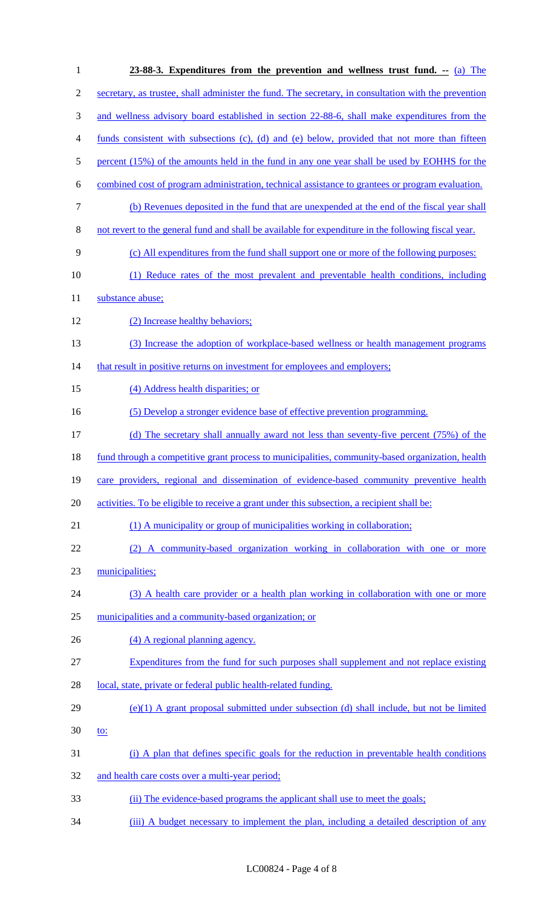| $\mathbf{1}$   | 23-88-3. Expenditures from the prevention and wellness trust fund. $-$ (a) The                       |
|----------------|------------------------------------------------------------------------------------------------------|
| $\overline{2}$ | secretary, as trustee, shall administer the fund. The secretary, in consultation with the prevention |
| 3              | and wellness advisory board established in section 22-88-6, shall make expenditures from the         |
| 4              | funds consistent with subsections (c), (d) and (e) below, provided that not more than fifteen        |
| 5              | percent (15%) of the amounts held in the fund in any one year shall be used by EOHHS for the         |
| 6              | combined cost of program administration, technical assistance to grantees or program evaluation.     |
| $\overline{7}$ | (b) Revenues deposited in the fund that are unexpended at the end of the fiscal year shall           |
| 8              | not revert to the general fund and shall be available for expenditure in the following fiscal year.  |
| 9              | (c) All expenditures from the fund shall support one or more of the following purposes:              |
| 10             | (1) Reduce rates of the most prevalent and preventable health conditions, including                  |
| 11             | substance abuse;                                                                                     |
| 12             | (2) Increase healthy behaviors;                                                                      |
| 13             | (3) Increase the adoption of workplace-based wellness or health management programs                  |
| 14             | that result in positive returns on investment for employees and employers;                           |
| 15             | (4) Address health disparities; or                                                                   |
| 16             | (5) Develop a stronger evidence base of effective prevention programming.                            |
| 17             | (d) The secretary shall annually award not less than seventy-five percent (75%) of the               |
| 18             | fund through a competitive grant process to municipalities, community-based organization, health     |
| 19             | care providers, regional and dissemination of evidence-based community preventive health             |
| 20             | activities. To be eligible to receive a grant under this subsection, a recipient shall be:           |
| 21             | (1) A municipality or group of municipalities working in collaboration;                              |
| 22             | (2) A community-based organization working in collaboration with one or more                         |
| 23             | municipalities;                                                                                      |
| 24             | (3) A health care provider or a health plan working in collaboration with one or more                |
| 25             | municipalities and a community-based organization; or                                                |
| 26             | (4) A regional planning agency.                                                                      |
| 27             | Expenditures from the fund for such purposes shall supplement and not replace existing               |
| 28             | local, state, private or federal public health-related funding.                                      |
| 29             | $(e)(1)$ A grant proposal submitted under subsection (d) shall include, but not be limited           |
| 30             | <u>to:</u>                                                                                           |
| 31             | (i) A plan that defines specific goals for the reduction in preventable health conditions            |
| 32             | and health care costs over a multi-year period;                                                      |
| 33             | (ii) The evidence-based programs the applicant shall use to meet the goals;                          |
| 34             | (iii) A budget necessary to implement the plan, including a detailed description of any              |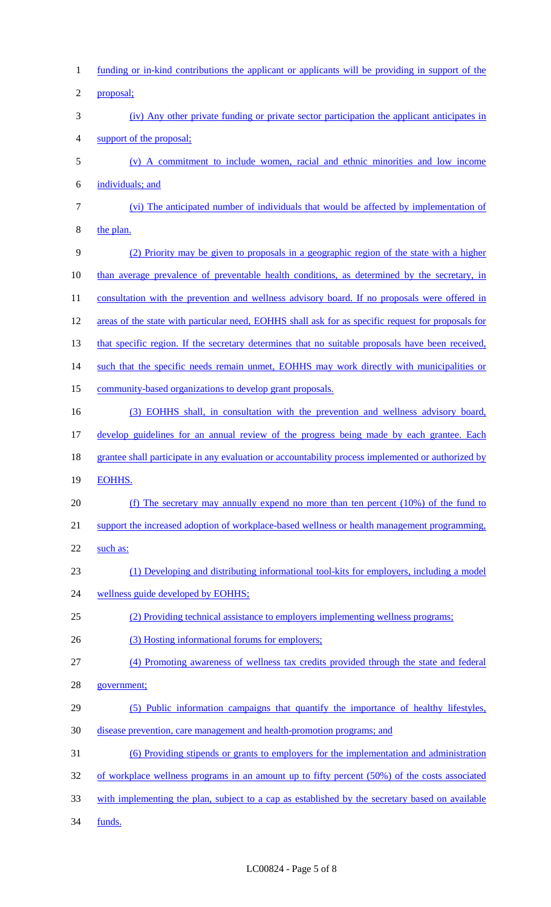| $\mathbf{1}$             | funding or in-kind contributions the applicant or applicants will be providing in support of the   |
|--------------------------|----------------------------------------------------------------------------------------------------|
| $\mathbf{2}$             | proposal;                                                                                          |
| $\mathfrak{Z}$           | (iv) Any other private funding or private sector participation the applicant anticipates in        |
| $\overline{\mathcal{A}}$ | support of the proposal;                                                                           |
| 5                        | (v) A commitment to include women, racial and ethnic minorities and low income                     |
| 6                        | individuals; and                                                                                   |
| $\boldsymbol{7}$         | (vi) The anticipated number of individuals that would be affected by implementation of             |
| $8\,$                    | the plan.                                                                                          |
| 9                        | (2) Priority may be given to proposals in a geographic region of the state with a higher           |
| 10                       | than average prevalence of preventable health conditions, as determined by the secretary, in       |
| 11                       | consultation with the prevention and wellness advisory board. If no proposals were offered in      |
| 12                       | areas of the state with particular need, EOHHS shall ask for as specific request for proposals for |
| 13                       | that specific region. If the secretary determines that no suitable proposals have been received,   |
| 14                       | such that the specific needs remain unmet, EOHHS may work directly with municipalities or          |
| 15                       | community-based organizations to develop grant proposals.                                          |
| 16                       | (3) EOHHS shall, in consultation with the prevention and wellness advisory board,                  |
| 17                       | develop guidelines for an annual review of the progress being made by each grantee. Each           |
| 18                       | grantee shall participate in any evaluation or accountability process implemented or authorized by |
| 19                       | <b>EOHHS.</b>                                                                                      |
| 20                       | (f) The secretary may annually expend no more than ten percent $(10\%)$ of the fund to             |
| 21                       | support the increased adoption of workplace-based wellness or health management programming,       |
| 22                       | such as:                                                                                           |
| 23                       | (1) Developing and distributing informational tool-kits for employers, including a model           |
| 24                       | wellness guide developed by EOHHS;                                                                 |
| 25                       | (2) Providing technical assistance to employers implementing wellness programs;                    |
| 26                       | (3) Hosting informational forums for employers;                                                    |
| 27                       | (4) Promoting awareness of wellness tax credits provided through the state and federal             |
| 28                       | government;                                                                                        |
| 29                       | (5) Public information campaigns that quantify the importance of healthy lifestyles,               |
| 30                       | disease prevention, care management and health-promotion programs; and                             |
| 31                       | (6) Providing stipends or grants to employers for the implementation and administration            |
| 32                       | of workplace wellness programs in an amount up to fifty percent (50%) of the costs associated      |
| 33                       | with implementing the plan, subject to a cap as established by the secretary based on available    |
| 34                       | funds.                                                                                             |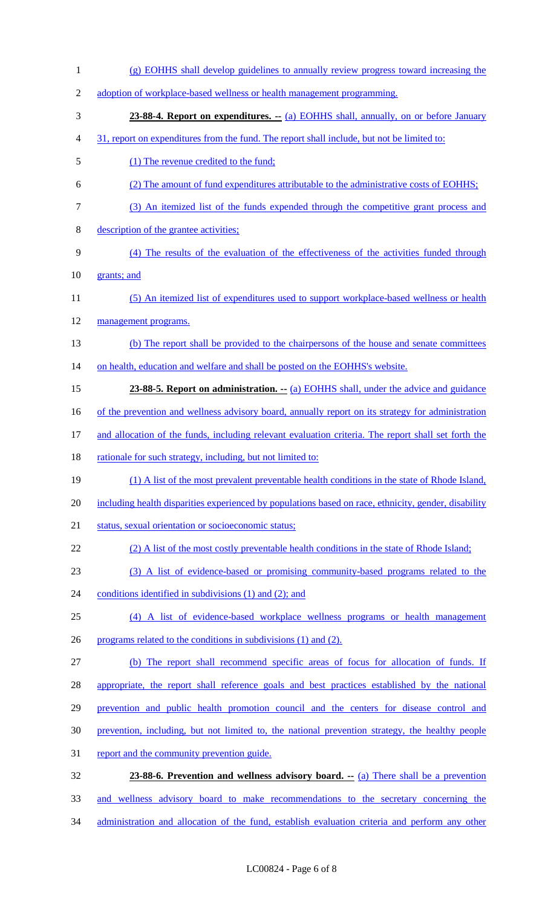1 (g) EOHHS shall develop guidelines to annually review progress toward increasing the 2 adoption of workplace-based wellness or health management programming. 3 **23-88-4. Report on expenditures.** -- (a) EOHHS shall, annually, on or before January 4 31, report on expenditures from the fund. The report shall include, but not be limited to: 5 (1) The revenue credited to the fund; 6 (2) The amount of fund expenditures attributable to the administrative costs of EOHHS; 7 (3) An itemized list of the funds expended through the competitive grant process and 8 description of the grantee activities; 9 (4) The results of the evaluation of the effectiveness of the activities funded through 10 grants; and 11 (5) An itemized list of expenditures used to support workplace-based wellness or health 12 management programs. 13 (b) The report shall be provided to the chairpersons of the house and senate committees 14 on health, education and welfare and shall be posted on the EOHHS's website. 15 **23-88-5. Report on administration.** -- (a) EOHHS shall, under the advice and guidance 16 of the prevention and wellness advisory board, annually report on its strategy for administration 17 and allocation of the funds, including relevant evaluation criteria. The report shall set forth the 18 rationale for such strategy, including, but not limited to: 19 (1) A list of the most prevalent preventable health conditions in the state of Rhode Island, 20 including health disparities experienced by populations based on race, ethnicity, gender, disability 21 status, sexual orientation or socioeconomic status; 22 (2) A list of the most costly preventable health conditions in the state of Rhode Island; 23 (3) A list of evidence-based or promising community-based programs related to the 24 conditions identified in subdivisions (1) and (2); and 25 (4) A list of evidence-based workplace wellness programs or health management 26 programs related to the conditions in subdivisions (1) and (2). 27 (b) The report shall recommend specific areas of focus for allocation of funds. If 28 appropriate, the report shall reference goals and best practices established by the national 29 prevention and public health promotion council and the centers for disease control and 30 prevention, including, but not limited to, the national prevention strategy, the healthy people 31 report and the community prevention guide. 32 **23-88-6. Prevention and wellness advisory board. --** (a) There shall be a prevention 33 and wellness advisory board to make recommendations to the secretary concerning the 34 administration and allocation of the fund, establish evaluation criteria and perform any other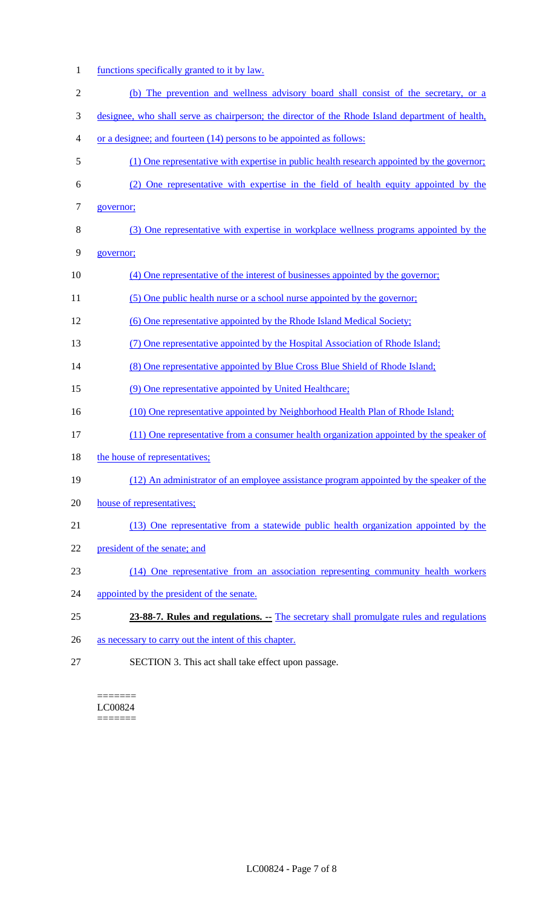1 functions specifically granted to it by law.

| $\overline{2}$ | (b) The prevention and wellness advisory board shall consist of the secretary, or a              |
|----------------|--------------------------------------------------------------------------------------------------|
| 3              | designee, who shall serve as chairperson; the director of the Rhode Island department of health, |
| 4              | or a designee; and fourteen (14) persons to be appointed as follows:                             |
| 5              | (1) One representative with expertise in public health research appointed by the governor;       |
| 6              | (2) One representative with expertise in the field of health equity appointed by the             |
| 7              | governor;                                                                                        |
| 8              | (3) One representative with expertise in workplace wellness programs appointed by the            |
| 9              | governor;                                                                                        |
| 10             | (4) One representative of the interest of businesses appointed by the governor;                  |
| 11             | (5) One public health nurse or a school nurse appointed by the governor;                         |
| 12             | (6) One representative appointed by the Rhode Island Medical Society;                            |
| 13             | (7) One representative appointed by the Hospital Association of Rhode Island;                    |
| 14             | (8) One representative appointed by Blue Cross Blue Shield of Rhode Island;                      |
| 15             | (9) One representative appointed by United Healthcare;                                           |
| 16             | (10) One representative appointed by Neighborhood Health Plan of Rhode Island;                   |
| 17             | (11) One representative from a consumer health organization appointed by the speaker of          |
| 18             | the house of representatives;                                                                    |
| 19             | (12) An administrator of an employee assistance program appointed by the speaker of the          |
| 20             | house of representatives;                                                                        |
| 21             | (13) One representative from a statewide public health organization appointed by the             |
| 22             | president of the senate; and                                                                     |
| 23             | (14) One representative from an association representing community health workers                |
| 24             | appointed by the president of the senate.                                                        |
| 25             | 23-88-7. Rules and regulations. -- The secretary shall promulgate rules and regulations          |
| 26             | as necessary to carry out the intent of this chapter.                                            |
|                |                                                                                                  |

27 SECTION 3. This act shall take effect upon passage.

======= LC00824 =======